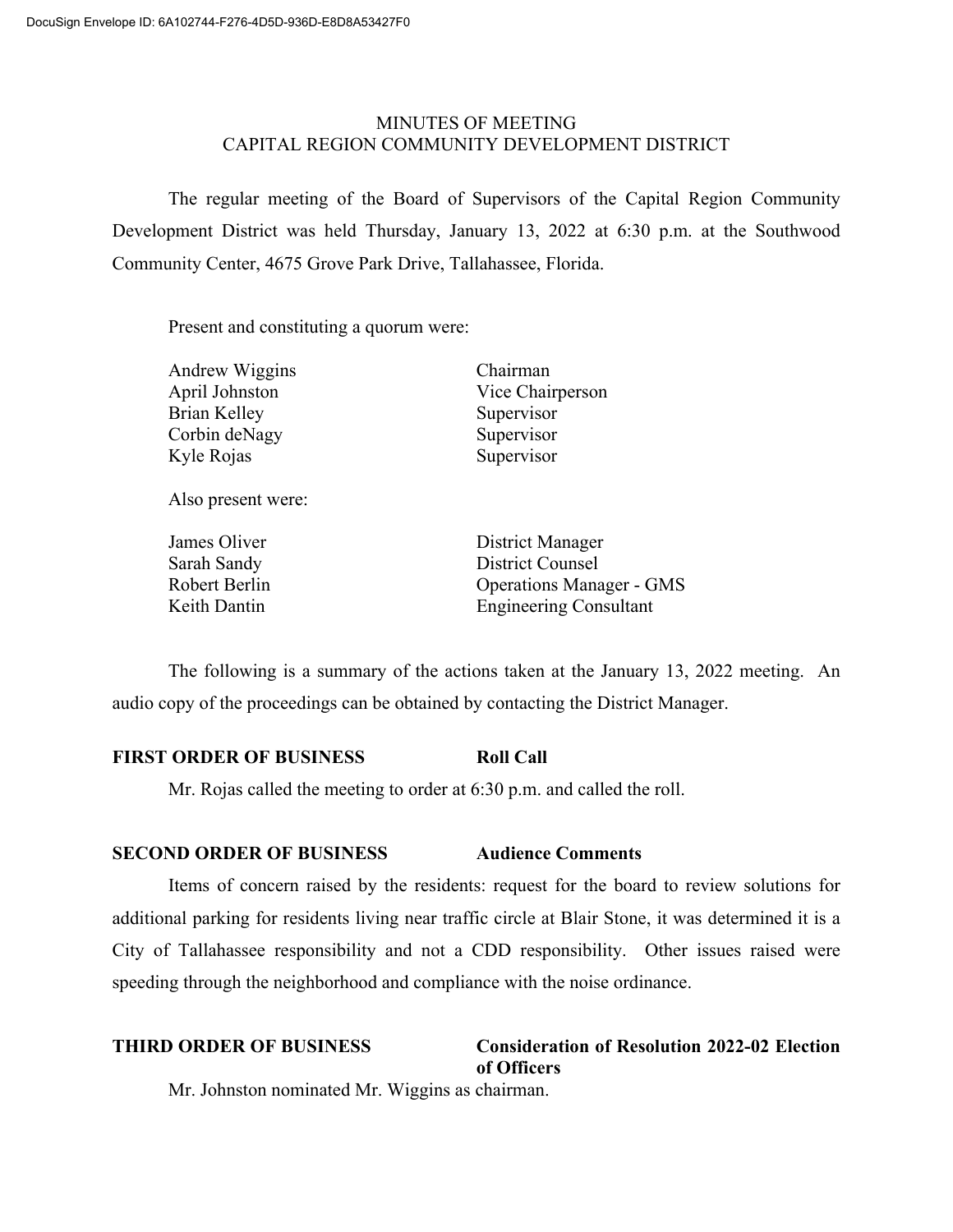# MINUTES OF MEETING CAPITAL REGION COMMUNITY DEVELOPMENT DISTRICT

The regular meeting of the Board of Supervisors of the Capital Region Community Development District was held Thursday, January 13, 2022 at 6:30 p.m. at the Southwood Community Center, 4675 Grove Park Drive, Tallahassee, Florida.

Present and constituting a quorum were:

| Andrew Wiggins | Chairman         |
|----------------|------------------|
| April Johnston | Vice Chairperson |
| Brian Kelley   | Supervisor       |
| Corbin deNagy  | Supervisor       |
| Kyle Rojas     | Supervisor       |
|                |                  |
|                |                  |

Also present were:

**James Oliver Communist Communist Communist Communist Communist Communist Communist Communist Communist Communist Communist Communist Communist Communist Communist Communist Communist Communist Communist Communist Communis** Sarah Sandy District Counsel Robert Berlin Operations Manager - GMS Keith Dantin Engineering Consultant

The following is a summary of the actions taken at the January 13, 2022 meeting. An audio copy of the proceedings can be obtained by contacting the District Manager.

# **FIRST ORDER OF BUSINESS Roll Call**

Mr. Rojas called the meeting to order at 6:30 p.m. and called the roll.

# **SECOND ORDER OF BUSINESS Audience Comments**

Items of concern raised by the residents: request for the board to review solutions for additional parking for residents living near traffic circle at Blair Stone, it was determined it is a City of Tallahassee responsibility and not a CDD responsibility. Other issues raised were speeding through the neighborhood and compliance with the noise ordinance.

| <b>THIRD ORDER OF BUSINESS</b>                  | <b>Consideration of Resolution 2022-02 Election</b> |
|-------------------------------------------------|-----------------------------------------------------|
|                                                 | of Officers                                         |
| Mr. Johnston nominated Mr. Wiggins as chairman. |                                                     |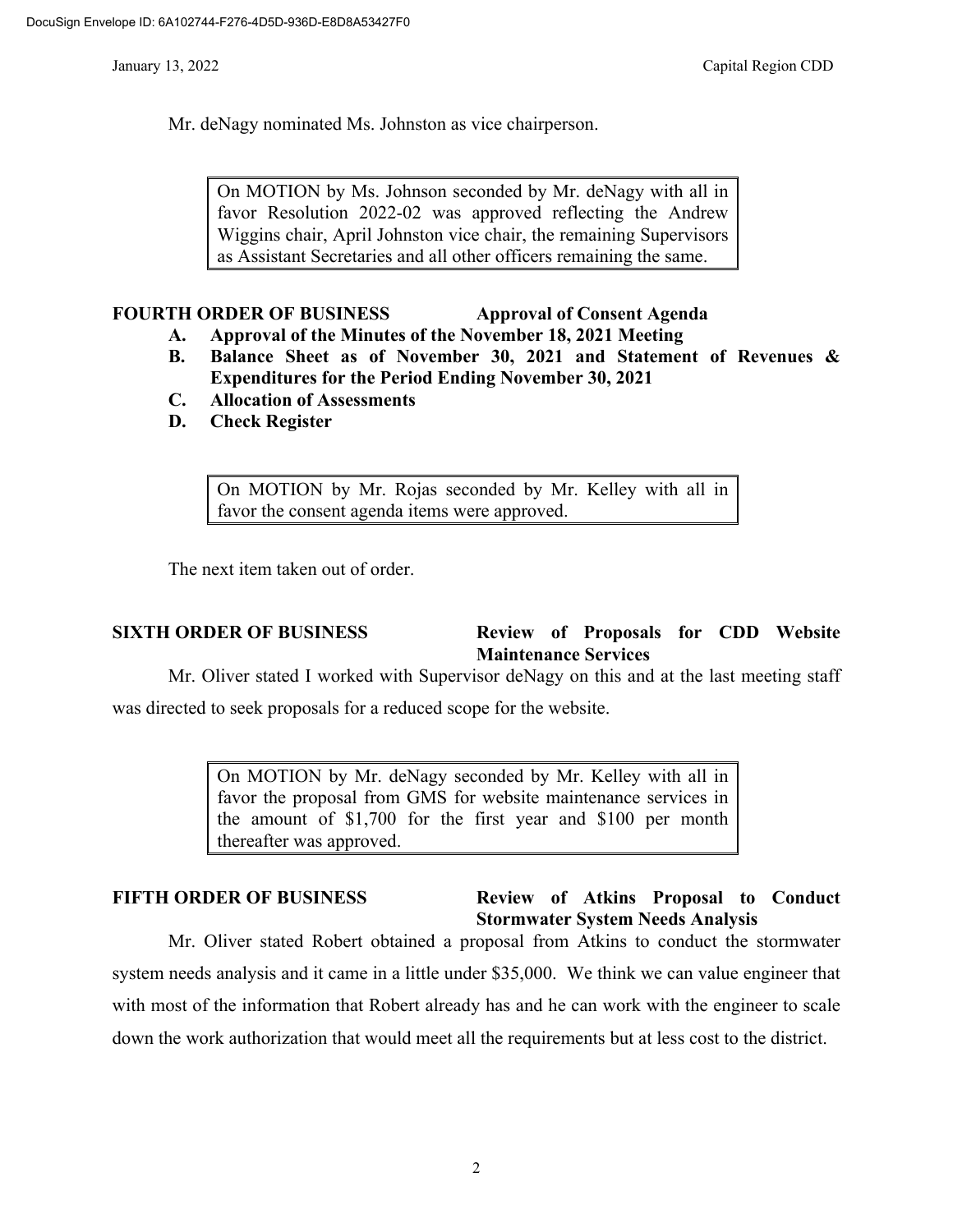Mr. deNagy nominated Ms. Johnston as vice chairperson.

On MOTION by Ms. Johnson seconded by Mr. deNagy with all in favor Resolution 2022-02 was approved reflecting the Andrew Wiggins chair, April Johnston vice chair, the remaining Supervisors as Assistant Secretaries and all other officers remaining the same.

# **FOURTH ORDER OF BUSINESS Approval of Consent Agenda**

# **A. Approval of the Minutes of the November 18, 2021 Meeting**

- **B. Balance Sheet as of November 30, 2021 and Statement of Revenues & Expenditures for the Period Ending November 30, 2021**
- **C. Allocation of Assessments**
- **D. Check Register**

On MOTION by Mr. Rojas seconded by Mr. Kelley with all in favor the consent agenda items were approved.

The next item taken out of order.

# **SIXTH ORDER OF BUSINESS Review of Proposals for CDD Website Maintenance Services**

Mr. Oliver stated I worked with Supervisor deNagy on this and at the last meeting staff was directed to seek proposals for a reduced scope for the website.

> On MOTION by Mr. deNagy seconded by Mr. Kelley with all in favor the proposal from GMS for website maintenance services in the amount of \$1,700 for the first year and \$100 per month thereafter was approved.

### **FIFTH ORDER OF BUSINESS Review of Atkins Proposal to Conduct Stormwater System Needs Analysis**

Mr. Oliver stated Robert obtained a proposal from Atkins to conduct the stormwater system needs analysis and it came in a little under \$35,000. We think we can value engineer that with most of the information that Robert already has and he can work with the engineer to scale down the work authorization that would meet all the requirements but at less cost to the district.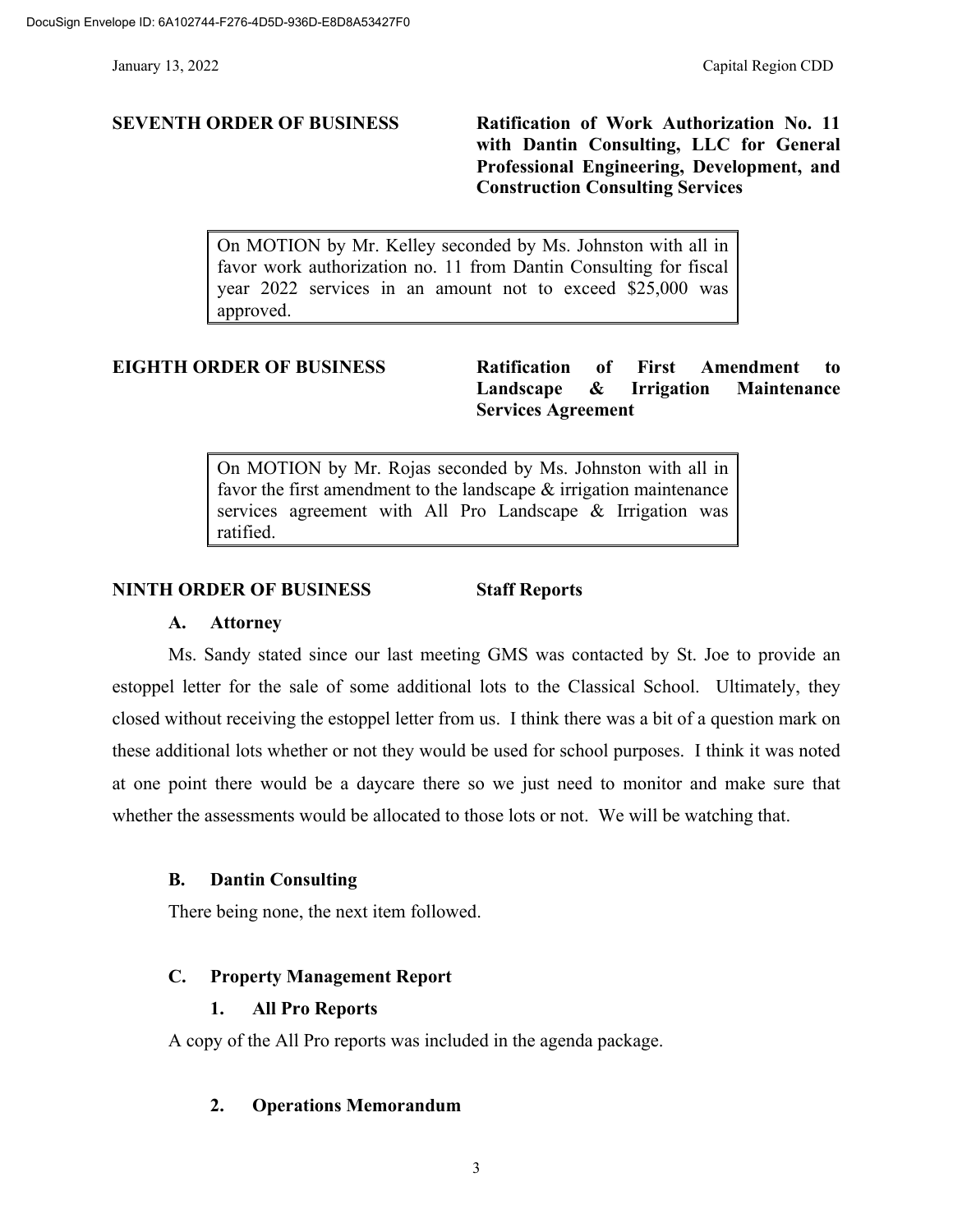**SEVENTH ORDER OF BUSINESS Ratification of Work Authorization No. 11 with Dantin Consulting, LLC for General Professional Engineering, Development, and Construction Consulting Services**

> On MOTION by Mr. Kelley seconded by Ms. Johnston with all in favor work authorization no. 11 from Dantin Consulting for fiscal year 2022 services in an amount not to exceed \$25,000 was approved.

# **EIGHTH ORDER OF BUSINESS Ratification of First Amendment to Landscape & Irrigation Maintenance Services Agreement**

On MOTION by Mr. Rojas seconded by Ms. Johnston with all in favor the first amendment to the landscape & irrigation maintenance services agreement with All Pro Landscape & Irrigation was ratified.

# **NINTH ORDER OF BUSINESS Staff Reports**

#### **A. Attorney**

Ms. Sandy stated since our last meeting GMS was contacted by St. Joe to provide an estoppel letter for the sale of some additional lots to the Classical School. Ultimately, they closed without receiving the estoppel letter from us. I think there was a bit of a question mark on these additional lots whether or not they would be used for school purposes. I think it was noted at one point there would be a daycare there so we just need to monitor and make sure that whether the assessments would be allocated to those lots or not. We will be watching that.

### **B. Dantin Consulting**

There being none, the next item followed.

## **C. Property Management Report**

### **1. All Pro Reports**

A copy of the All Pro reports was included in the agenda package.

### **2. Operations Memorandum**